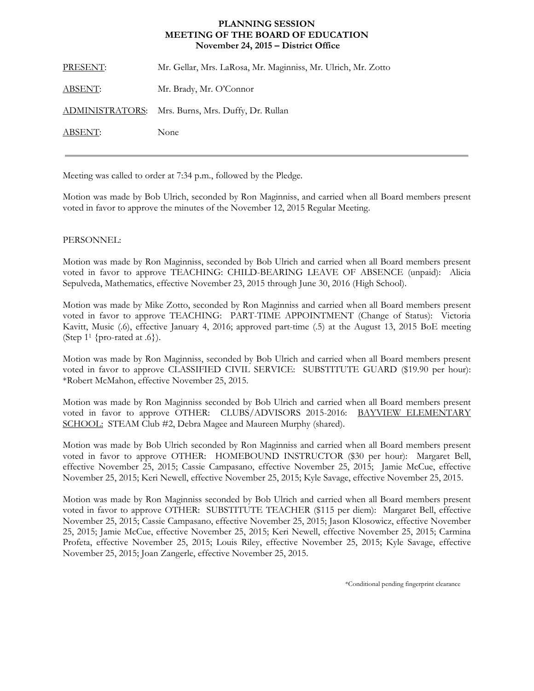## **MEETING OF THE BOARD OF EDUCATION PLANNING SESSION November 24, 2015 – District Office**

| PRESENT: | Mr. Gellar, Mrs. LaRosa, Mr. Maginniss, Mr. Ulrich, Mr. Zotto |
|----------|---------------------------------------------------------------|
| ABSENT:  | Mr. Brady, Mr. O'Connor                                       |
|          | ADMINISTRATORS: Mrs. Burns, Mrs. Duffy, Dr. Rullan            |
| ABSENT:  | None                                                          |
|          |                                                               |

Meeting was called to order at 7:34 p.m., followed by the Pledge.

Motion was made by Bob Ulrich, seconded by Ron Maginniss, and carried when all Board members present voted in favor to approve the minutes of the November 12, 2015 Regular Meeting.

## PERSONNEL:

Motion was made by Ron Maginniss, seconded by Bob Ulrich and carried when all Board members present voted in favor to approve TEACHING: CHILD-BEARING LEAVE OF ABSENCE (unpaid): Alicia Sepulveda, Mathematics, effective November 23, 2015 through June 30, 2016 (High School).

Motion was made by Mike Zotto, seconded by Ron Maginniss and carried when all Board members present voted in favor to approve TEACHING: PART-TIME APPOINTMENT (Change of Status): Victoria Kavitt, Music (.6), effective January 4, 2016; approved part-time (.5) at the August 13, 2015 BoE meeting (Step  $1<sup>1</sup>$  {pro-rated at .6}).

Motion was made by Ron Maginniss, seconded by Bob Ulrich and carried when all Board members present voted in favor to approve CLASSIFIED CIVIL SERVICE: SUBSTITUTE GUARD (\$19.90 per hour): \*Robert McMahon, effective November 25, 2015.

Motion was made by Ron Maginniss seconded by Bob Ulrich and carried when all Board members present voted in favor to approve OTHER: CLUBS/ADVISORS 2015-2016: BAYVIEW ELEMENTARY SCHOOL: STEAM Club #2, Debra Magee and Maureen Murphy (shared).

Motion was made by Bob Ulrich seconded by Ron Maginniss and carried when all Board members present voted in favor to approve OTHER: HOMEBOUND INSTRUCTOR (\$30 per hour): Margaret Bell, effective November 25, 2015; Cassie Campasano, effective November 25, 2015; Jamie McCue, effective November 25, 2015; Keri Newell, effective November 25, 2015; Kyle Savage, effective November 25, 2015.

Motion was made by Ron Maginniss seconded by Bob Ulrich and carried when all Board members present voted in favor to approve OTHER: SUBSTITUTE TEACHER (\$115 per diem): Margaret Bell, effective November 25, 2015; Cassie Campasano, effective November 25, 2015; Jason Klosowicz, effective November 25, 2015; Jamie McCue, effective November 25, 2015; Keri Newell, effective November 25, 2015; Carmina Profeta, effective November 25, 2015; Louis Riley, effective November 25, 2015; Kyle Savage, effective November 25, 2015; Joan Zangerle, effective November 25, 2015.

\*Conditional pending fingerprint clearance